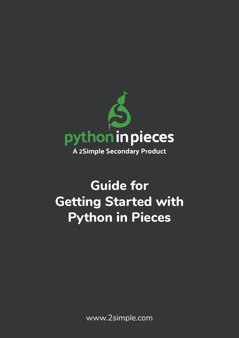

# **Guide for Getting Started with Python in Pieces**

www.2simple.com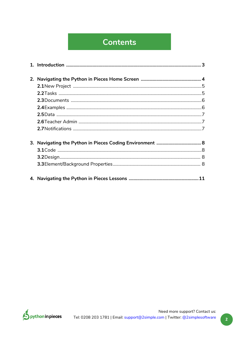### **Contents**

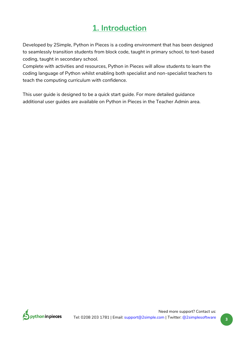### **1. Introduction**

<span id="page-2-0"></span>Developed by 2Simple, Python in Pieces is a coding environment that has been designed to seamlessly transition students from block code, taught in primary school, to text-based coding, taught in secondary school.

Complete with activities and resources, Python in Pieces will allow students to learn the coding language of Python whilst enabling both specialist and non-specialist teachers to teach the computing curriculum with confidence.

This user guide is designed to be a quick start guide. For more detailed guidance additional user guides are available on Python in Pieces in the Teacher Admin area.

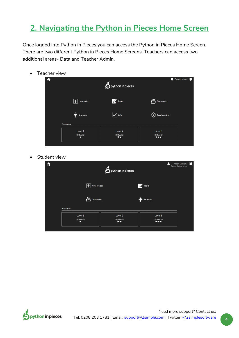### <span id="page-3-0"></span>**2. Navigating the Python in Pieces Home Screen**

Once logged into Python in Pieces you can access the Python in Pieces Home Screen. There are two different Python in Pieces Home Screens. Teachers can access two additional areas- Data and Teacher Admin.

• Teacher view

| ft                                         | $\bigcirc$ python in pieces        | Python school<br>г                  |
|--------------------------------------------|------------------------------------|-------------------------------------|
| $\left  \boldsymbol{+}\right $ New project | Tasks                              | 眉<br>Documents                      |
| $\frac{1}{2}$ Examples                     | $\boldsymbol{\mathcal{N}}$ Data    | <i><b>KO</b></i> Teacher Admin      |
| <b>Resources</b>                           |                                    |                                     |
| Level 1<br><b>Difficulty</b><br>٠          | Level 2<br><b>Difficulty</b><br>** | Level 3<br><b>Difficulty</b><br>*** |

• Student view

| $\hat{\mathbf{r}}$ | <b>S</b> python in pieces         |                                       |                                     |  |  |  |
|--------------------|-----------------------------------|---------------------------------------|-------------------------------------|--|--|--|
|                    | $\boxed{+}$ New project           |                                       | <b>Tasks</b>                        |  |  |  |
|                    | 信<br><b>Documents</b>             |                                       | $\sum_{n=1}^{\infty}$ Examples      |  |  |  |
| <b>Resources</b>   |                                   |                                       |                                     |  |  |  |
|                    | Level 1<br><b>Difficulty</b><br>٠ | Level 2<br><b>Difficulty</b><br>$***$ | Level 3<br><b>Difficulty</b><br>*** |  |  |  |

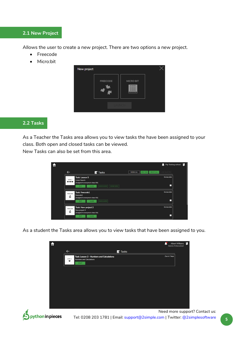#### <span id="page-4-0"></span>**2.1 New Project**

Allows the user to create a new project. There are two options a new project.

- Freecode
- Micro:bit



#### **2.2 Tasks**

As a Teacher the Tasks area allows you to view tasks the have been assigned to your class. Both open and closed tasks can be viewed.

New Tasks can also be set from this area.

| ff |                 |                                                                                                                                               |                       | Pip Testing school<br>▁      |  |
|----|-----------------|-----------------------------------------------------------------------------------------------------------------------------------------------|-----------------------|------------------------------|--|
|    | ←               | <b>Z</b> Tasks                                                                                                                                | NEW TASK<br>SHOW: ALL | CLOSE SELECTED<br>SELECT ALL |  |
|    | LEVEL 3<br>$+1$ | <b>Task: Lesson 5</b><br><b>Linear Search</b><br>(Assigned to everyone in class: 6A)<br>SHOW WORK<br>SHOW DATA<br><b>CLOSE</b><br><b>EDIT</b> |                       | No due date<br>□             |  |
|    | FREECODE        | <b>Task: freecode1</b><br>freecode1                                                                                                           |                       | No due date                  |  |
|    | s               | (Assigned to everyone in class: 6A)<br>SHOW WORK<br><b>CLOSE</b><br>EDIT                                                                      |                       | □                            |  |

As a student the Tasks area allows you to view tasks that have been assigned to you.

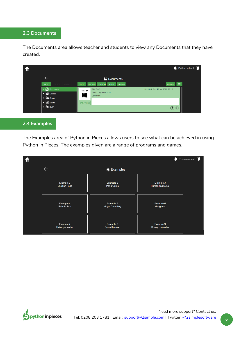#### <span id="page-5-0"></span>**2.3 Documents**

The Documents area allows teacher and students to view any Documents that they have created.

|                                                                                                                         |                                                                       | $\bullet$ Python school $\Box$                                    |  |
|-------------------------------------------------------------------------------------------------------------------------|-----------------------------------------------------------------------|-------------------------------------------------------------------|--|
|                                                                                                                         | Documents                                                             |                                                                   |  |
| <b>NEW</b>                                                                                                              | DELETE SET TASK COMMENT<br>UPLOAD<br>DELETE    RENAME<br><b>PRINT</b> | $\equiv$<br><b>REFRESH</b>                                        |  |
| $\triangleright$ $\overrightarrow{C}$ Documents<br><b>ERICIASSES</b>                                                    | File: Test3<br>MICRO:BIT<br>Author: Python school<br>農<br>Comment:    | Modified: Sun, 19 Jan 2020 23:10                                  |  |
| $\triangleright$ $\frac{1}{2}$ Group<br>$\blacktriangleright \Box$ School<br>$\blacktriangleright$ $\blacksquare$ Staff | <b>OPEN WORK</b>                                                      |                                                                   |  |
|                                                                                                                         |                                                                       | $\textcircled{\scriptsize\textbulletled{\scriptsize\textbullet}}$ |  |

#### **2.4 Examples**

The Examples area of Python in Pieces allows users to see what can be achieved in using Python in Pieces. The examples given are a range of programs and games.



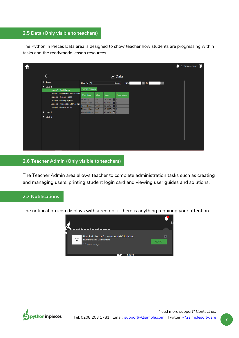#### <span id="page-6-0"></span>**2.5 Data (Only visible to teachers)**

The Python in Pieces Data area is designed to show teacher how students are progressing within tasks and the readymade lesson resources.

|                                  |                                    |                        |              |                       |                 |                |                         | Python school [ |
|----------------------------------|------------------------------------|------------------------|--------------|-----------------------|-----------------|----------------|-------------------------|-----------------|
| $\leftarrow$                     |                                    |                        |              |                       | $\nu$ Data      |                |                         |                 |
| $\blacktriangleright$ Tasks      |                                    | Show For: All          |              |                       | From:<br>Change | $ \times $ To: | $\overline{\mathsf{x}}$ |                 |
| $\blacktriangledown$ Level 1     |                                    |                        |              |                       |                 |                |                         |                 |
| Lesson 1 - Text Output           |                                    | <b>EXPORT TO EXCEL</b> |              |                       |                 |                |                         |                 |
|                                  | Lesson 2 - Numbers and Calculatio  | Pupil Name +           | $Class \div$ | Score ÷               | Hints taken +   |                |                         |                 |
| Lesson 3 - Repeat Loops          |                                    | lan Findlay            | Year 7       | $1/9(11\%)$ $\Box$ 0  |                 |                |                         |                 |
| <b>Lesson 4 - Moving Sprites</b> |                                    | Andrew Foran           | Year 7       | $4/9$ (44%) $\Box$ 1  |                 |                |                         |                 |
|                                  | Lesson 5 - Variables and User Inpu | Karen Johnston         | Year 10      | $3/9$ (33%) $+$ 0     |                 |                |                         |                 |
| Lesson 6 - Repeat While          |                                    | Elizabeth Magee Year 7 |              | $9/9(100\%)$ $\Box$ 2 |                 |                |                         |                 |
| $\triangleright$ Level 2         |                                    | Albert Williams        | Year 9       | $4/9$ (44%) $\Box$ 1  |                 |                |                         |                 |
| $\blacktriangleright$ Level 3    |                                    |                        |              |                       |                 |                |                         |                 |
|                                  |                                    |                        |              |                       |                 |                |                         |                 |
|                                  |                                    |                        |              |                       |                 |                |                         |                 |
|                                  |                                    |                        |              |                       |                 |                |                         |                 |
|                                  |                                    |                        |              |                       |                 |                |                         |                 |
|                                  |                                    |                        |              |                       |                 |                |                         |                 |
|                                  |                                    |                        |              |                       |                 |                |                         |                 |
|                                  |                                    |                        |              |                       |                 |                |                         |                 |
|                                  |                                    |                        |              |                       |                 |                |                         |                 |
|                                  |                                    |                        |              |                       |                 |                |                         |                 |

#### **2.6 Teacher Admin (Only visible to teachers)**

The Teacher Admin area allows teacher to complete administration tasks such as creating and managing users, printing student login card and viewing user guides and solutions.

### **2.7 Notifications**

The notification icon displays with a red dot if there is anything requiring your attention.



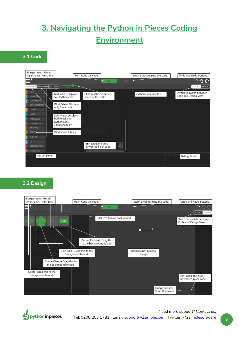## <span id="page-7-0"></span>**3. Navigating the Python in Pieces Coding Environment**

**3.1 Code**



#### **3.2 Design**



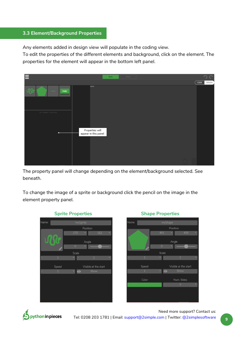#### **3.3 Element/Background Properties**

Any elements added in design view will populate in the coding view.

To edit the properties of the different elements and background, click on the element. The properties for the element will appear in the bottom left panel.



The property panel will change depending on the element/background selected. See beneath.

To change the image of a sprite or background click the pencil on the image in the element property panel.





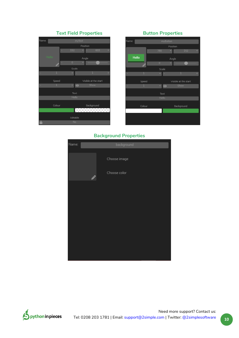#### **Text Field Properties Button Properties**



| Name:        | myButton       |           |                      |  |  |  |  |  |  |
|--------------|----------------|-----------|----------------------|--|--|--|--|--|--|
|              |                | Position  |                      |  |  |  |  |  |  |
|              | 780            | ÷         | 152                  |  |  |  |  |  |  |
| <b>Hello</b> |                | Angle     |                      |  |  |  |  |  |  |
|              | $\overline{0}$ | ٠         |                      |  |  |  |  |  |  |
|              | Scale          |           |                      |  |  |  |  |  |  |
| 1            | ÷              | i.        | 1                    |  |  |  |  |  |  |
| Speed        |                |           | Visible at the start |  |  |  |  |  |  |
| 1            |                | $\bullet$ | Show                 |  |  |  |  |  |  |
|              | Text           |           |                      |  |  |  |  |  |  |
|              | Hello          |           |                      |  |  |  |  |  |  |
| Colour       |                |           | Background           |  |  |  |  |  |  |
|              |                |           |                      |  |  |  |  |  |  |
|              |                |           |                      |  |  |  |  |  |  |
|              |                |           |                      |  |  |  |  |  |  |

#### **Background Properties**



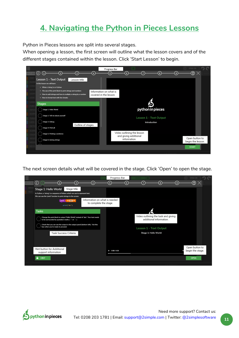### <span id="page-10-0"></span>**4. Navigating the Python in Pieces Lessons**

Python in Pieces lessons are split into several stages.

When opening a lesson, the first screen will outline what the lesson covers and of the different stages contained within the lesson. Click 'Start Lesson' to begin.

|                                                                                                                                                                                                                                          | Progress Bar                                     |                                                                     |                        |  |                   |
|------------------------------------------------------------------------------------------------------------------------------------------------------------------------------------------------------------------------------------------|--------------------------------------------------|---------------------------------------------------------------------|------------------------|--|-------------------|
| $\odot$ $\odot$<br>G                                                                                                                                                                                                                     |                                                  |                                                                     |                        |  | $_\odot$ $\times$ |
| Lesson 1 - Text Output<br>Lesson title.<br>In this lesson we will learn:<br>. What a 'string' is in Python<br>. The use of the print block to print strings and numbers<br>. How to add strings and how to multiply a string by a number | Information on what is<br>covered in the lesson. |                                                                     |                        |  |                   |
| . How to format text with line-breaks<br><b>Stages</b><br>Stage 1: Hello World                                                                                                                                                           |                                                  |                                                                     | python in pieces       |  |                   |
| Stage 2: Tell me about yourself<br>Stage 3: Debug                                                                                                                                                                                        |                                                  |                                                                     | Lesson 1 - Text Output |  |                   |
| Outline of stages.<br>Stage 4: Print all                                                                                                                                                                                                 |                                                  |                                                                     | Introduction           |  |                   |
| Stage 5: Printing a sentence                                                                                                                                                                                                             |                                                  | Video outlining the lesson<br>and giving additional<br>information. |                        |  | Open button to    |
| Stage 6: Joining strings                                                                                                                                                                                                                 |                                                  |                                                                     |                        |  | begin the lesson. |
|                                                                                                                                                                                                                                          |                                                  |                                                                     |                        |  | <b>START</b>      |

The next screen details what will be covered in the stage. Click 'Open' to open the stage.



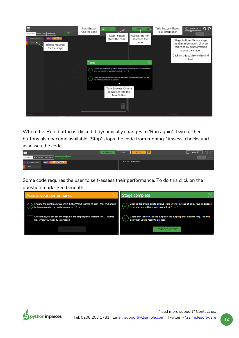

When the 'Run' button is clicked it dynamically changes to 'Run again'. Two further buttons also become available. 'Stop' stops the code from running. 'Assess' checks and assesses the code.

|                                                                     | <b>RUN AGAIN</b> | <b>STOP</b> | $\overline{\phantom{0}}$<br><b>ASSESS</b><br>æ | ⋒<br>STAGE 1/9<br>╚     |
|---------------------------------------------------------------------|------------------|-------------|------------------------------------------------|-------------------------|
| SPLIT VIEW BLOCK VIEW   TEXT VIEW  <br><b>FAST</b>                  |                  |             |                                                | CODE -<br><b>DESIGN</b> |
| <b>K Hello World &gt;&gt;</b><br>INPUT/OUTPUT<br>print <sup>1</sup> |                  |             | 1 print("Hello World")                         |                         |
| <b>TEXT</b>                                                         |                  |             |                                                |                         |

Some code requires the user to self-assess their performance. To do this click on the question mark- See beneath.